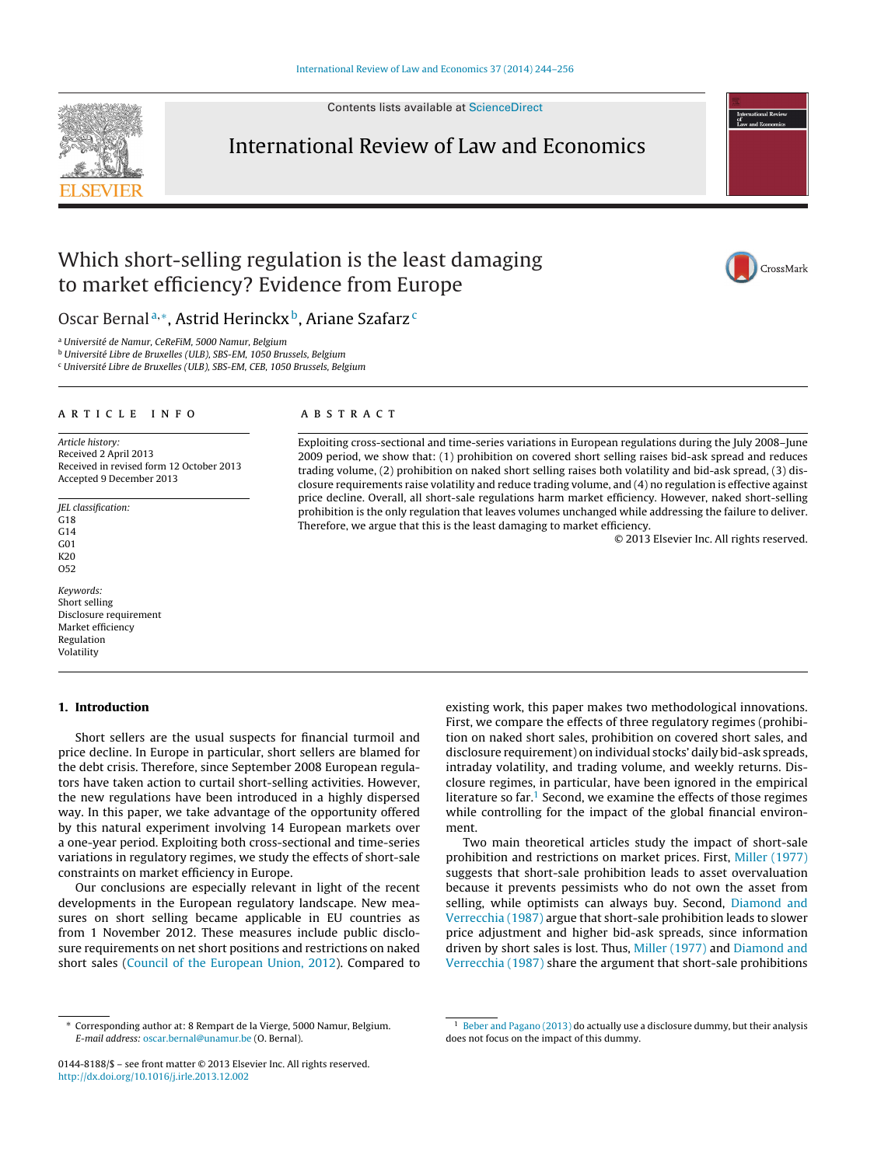Contents lists available at [ScienceDirect](http://www.sciencedirect.com/science/journal/01448188)

## International Review of Law and Economics

## Which short-selling regulation is the least damaging to market efficiency? Evidence from Europe

Oscar Bernal<sup>a,∗</sup>, Astrid Herinckx<sup>b</sup>, Ariane Szafarz<sup>c</sup>

<sup>a</sup> Université de Namur, CeReFiM, 5000 Namur, Belgium

<sup>b</sup> Université Libre de Bruxelles (ULB), SBS-EM, 1050 Brussels, Belgium

<sup>c</sup> Université Libre de Bruxelles (ULB), SBS-EM, CEB, 1050 Brussels, Belgium

#### a r t i c l e i n f o

Article history: Received 2 April 2013 Received in revised form 12 October 2013 Accepted 9 December 2013

JEL classification: G18 G14 G01 K20 O52

Keywords: Short selling Disclosure requirement Market efficiency Regulation Volatility

#### **1. Introduction**

Short sellers are the usual suspects for financial turmoil and price decline. In Europe in particular, short sellers are blamed for the debt crisis. Therefore, since September 2008 European regulators have taken action to curtail short-selling activities. However, the new regulations have been introduced in a highly dispersed way. In this paper, we take advantage of the opportunity offered by this natural experiment involving 14 European markets over a one-year period. Exploiting both cross-sectional and time-series variations in regulatory regimes, we study the effects of short-sale constraints on market efficiency in Europe.

Our conclusions are especially relevant in light of the recent developments in the European regulatory landscape. New measures on short selling became applicable in EU countries as from 1 November 2012. These measures include public disclosure requirements on net short positions and restrictions on naked short sales ([Council](#page--1-0) [of](#page--1-0) [the](#page--1-0) [European](#page--1-0) [Union,](#page--1-0) [2012\).](#page--1-0) Compared to

### A B S T R A C T

Exploiting cross-sectional and time-series variations in European regulations during the July 2008–June 2009 period, we show that: (1) prohibition on covered short selling raises bid-ask spread and reduces trading volume, (2) prohibition on naked short selling raises both volatility and bid-ask spread, (3) disclosure requirements raise volatility and reduce trading volume, and (4) no regulation is effective against price decline. Overall, all short-sale regulations harm market efficiency. However, naked short-selling prohibition is the only regulation that leaves volumes unchanged while addressing the failure to deliver. Therefore, we argue that this is the least damaging to market efficiency.

© 2013 Elsevier Inc. All rights reserved.

existing work, this paper makes two methodological innovations. First, we compare the effects of three regulatory regimes (prohibition on naked short sales, prohibition on covered short sales, and disclosure requirement) on individual stocks' daily bid-ask spreads, intraday volatility, and trading volume, and weekly returns. Disclosure regimes, in particular, have been ignored in the empirical literature so far. $<sup>1</sup>$  Second, we examine the effects of those regimes</sup> while controlling for the impact of the global financial environment.

Two main theoretical articles study the impact of short-sale prohibition and restrictions on market prices. First, [Miller](#page--1-0) [\(1977\)](#page--1-0) suggests that short-sale prohibition leads to asset overvaluation because it prevents pessimists who do not own the asset from selling, while optimists can always buy. Second, [Diamond](#page--1-0) [and](#page--1-0) [Verrecchia](#page--1-0) [\(1987\)](#page--1-0) argue that short-sale prohibition leads to slower price adjustment and higher bid-ask spreads, since information driven by short sales is lost. Thus, [Miller](#page--1-0) [\(1977\)](#page--1-0) and [Diamond](#page--1-0) [and](#page--1-0) [Verrecchia](#page--1-0) [\(1987\)](#page--1-0) share the argument that short-sale prohibitions





<sup>∗</sup> Corresponding author at: 8 Rempart de la Vierge, 5000 Namur, Belgium. E-mail address: [oscar.bernal@unamur.be](mailto:oscar.bernal@unamur.be) (O. Bernal).

<sup>0144-8188/\$</sup> – see front matter © 2013 Elsevier Inc. All rights reserved. [http://dx.doi.org/10.1016/j.irle.2013.12.002](dx.doi.org/10.1016/j.irle.2013.12.002)

<sup>&</sup>lt;sup>1</sup> [Beber](#page--1-0) [and](#page--1-0) [Pagano](#page--1-0) [\(2013\)](#page--1-0) do actually use a disclosure dummy, but their analysis does not focus on the impact of this dummy.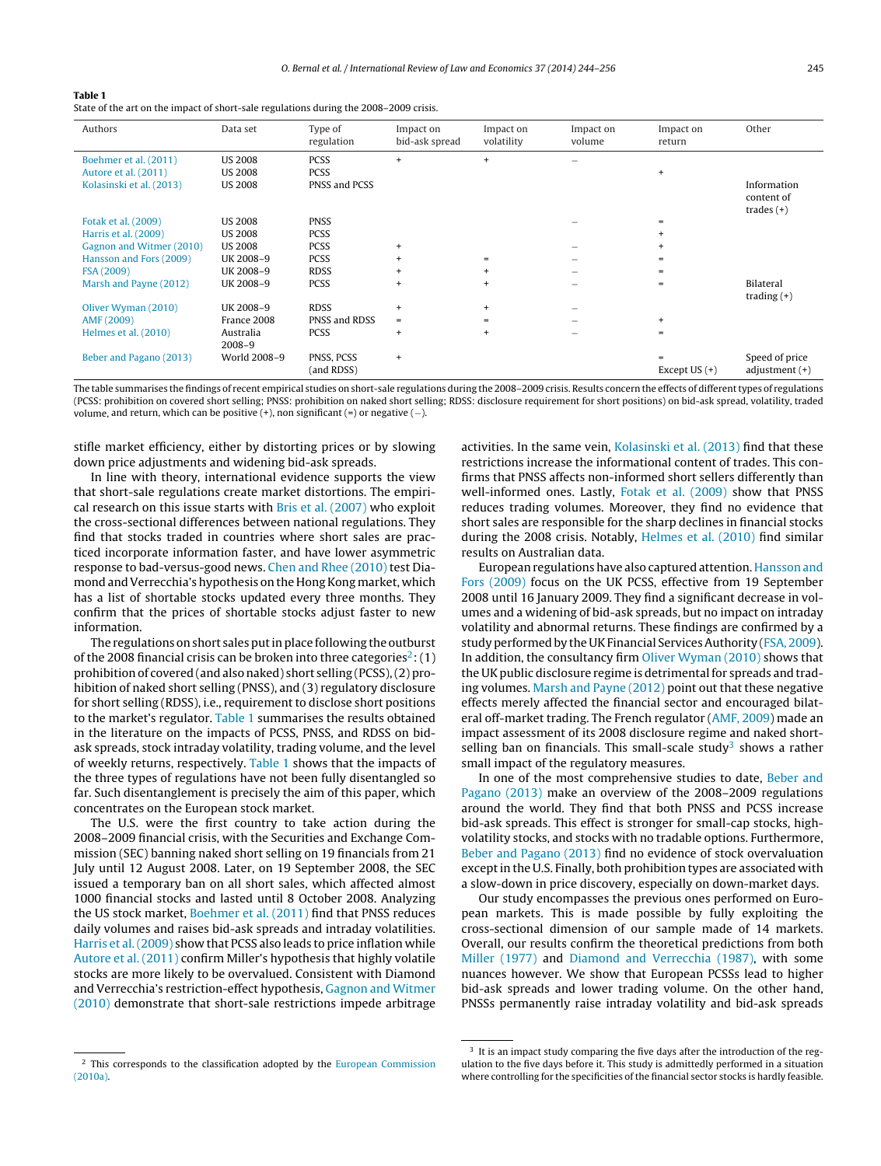#### **Table 1**

State of the art on the impact of short-sale regulations during the 2008–2009 crisis.

| Authors                  | Data set                | Type of<br>regulation    | Impact on<br>bid-ask spread      | Impact on<br>volatility | Impact on<br>volume | Impact on<br>return         | Other                                     |
|--------------------------|-------------------------|--------------------------|----------------------------------|-------------------------|---------------------|-----------------------------|-------------------------------------------|
| Boehmer et al. (2011)    | <b>US 2008</b>          | <b>PCSS</b>              | $+$                              | $+$                     |                     |                             |                                           |
| Autore et al. (2011)     | <b>US 2008</b>          | <b>PCSS</b>              |                                  |                         |                     | $+$                         |                                           |
| Kolasinski et al. (2013) | <b>US 2008</b>          | PNSS and PCSS            |                                  |                         |                     |                             | Information<br>content of<br>trades $(+)$ |
| Fotak et al. (2009)      | <b>US 2008</b>          | <b>PNSS</b>              |                                  |                         |                     | =                           |                                           |
| Harris et al. (2009)     | <b>US 2008</b>          | <b>PCSS</b>              |                                  |                         |                     | $\ddot{}$                   |                                           |
| Gagnon and Witmer (2010) | <b>US 2008</b>          | <b>PCSS</b>              | $\ddot{}$                        |                         |                     | $\ddot{}$                   |                                           |
| Hansson and Fors (2009)  | UK 2008-9               | <b>PCSS</b>              | $+$                              | $=$                     |                     | $=$                         |                                           |
| FSA (2009)               | UK 2008-9               | <b>RDSS</b>              | $+$                              | $\ddot{}$               |                     | $=$                         |                                           |
| Marsh and Payne (2012)   | UK 2008-9               | <b>PCSS</b>              | $+$                              | $+$                     |                     | $\equiv$                    | Bilateral<br>trading $(+)$                |
| Oliver Wyman (2010)      | UK 2008-9               | <b>RDSS</b>              | $+$                              | $+$                     |                     |                             |                                           |
| AMF (2009)               | France 2008             | PNSS and RDSS            | $=$                              | $=$                     |                     | $+$                         |                                           |
| Helmes et al. (2010)     | Australia<br>$2008 - 9$ | <b>PCSS</b>              | $+$                              | $\ddot{}$               |                     | $=$                         |                                           |
| Beber and Pagano (2013)  | World 2008-9            | PNSS, PCSS<br>(and RDSS) | $\begin{array}{c} + \end{array}$ |                         |                     | $\equiv$<br>Except $US (+)$ | Speed of price<br>adjustment $(+)$        |

The table summarises the findings of recent empirical studies on short-sale regulations during the 2008–2009 crisis. Results concern the effects of differenttypes of regulations (PCSS: prohibition on covered short selling; PNSS: prohibition on naked short selling; RDSS: disclosure requirement for short positions) on bid-ask spread, volatility, traded volume, and return, which can be positive  $(+)$ , non significant  $(=)$  or negative  $(-)$ .

stifle market efficiency, either by distorting prices or by slowing down price adjustments and widening bid-ask spreads.

In line with theory, international evidence supports the view that short-sale regulations create market distortions. The empirical research on this issue starts with [Bris](#page--1-0) et [al.](#page--1-0) [\(2007\)](#page--1-0) who exploit the cross-sectional differences between national regulations. They find that stocks traded in countries where short sales are practiced incorporate information faster, and have lower asymmetric response to bad-versus-good news. [Chen](#page--1-0) [and](#page--1-0) [Rhee](#page--1-0) [\(2010\)](#page--1-0) test Diamond and Verrecchia's hypothesis on the Hong Kong market, which has a list of shortable stocks updated every three months. They confirm that the prices of shortable stocks adjust faster to new information.

The regulations on short sales put in place following the outburst of the 2008 financial crisis can be broken into three categories<sup>2</sup>: (1) prohibition of covered (and also naked) short selling (PCSS),(2) prohibition of naked short selling (PNSS), and (3) regulatory disclosure for short selling (RDSS), i.e., requirement to disclose short positions to the market's regulator. Table 1 summarises the results obtained in the literature on the impacts of PCSS, PNSS, and RDSS on bidask spreads, stock intraday volatility, trading volume, and the level of weekly returns, respectively. Table 1 shows that the impacts of the three types of regulations have not been fully disentangled so far. Such disentanglement is precisely the aim of this paper, which concentrates on the European stock market.

The U.S. were the first country to take action during the 2008–2009 financial crisis, with the Securities and Exchange Commission (SEC) banning naked short selling on 19 financials from 21 July until 12 August 2008. Later, on 19 September 2008, the SEC issued a temporary ban on all short sales, which affected almost 1000 financial stocks and lasted until 8 October 2008. Analyzing the US stock market, [Boehmer](#page--1-0) et [al.](#page--1-0) [\(2011\)](#page--1-0) find that PNSS reduces daily volumes and raises bid-ask spreads and intraday volatilities. [Harris](#page--1-0) et [al.\(2009\)](#page--1-0) show that PCSS also leads to price inflation while [Autore](#page--1-0) et [al.](#page--1-0) [\(2011\)](#page--1-0) confirm Miller's hypothesis that highly volatile stocks are more likely to be overvalued. Consistent with Diamond and Verrecchia's restriction-effect hypothesis, [Gagnon](#page--1-0) [and](#page--1-0) [Witmer](#page--1-0) [\(2010\)](#page--1-0) demonstrate that short-sale restrictions impede arbitrage activities. In the same vein, [Kolasinski](#page--1-0) et [al.](#page--1-0) [\(2013\)](#page--1-0) find that these restrictions increase the informational content of trades. This confirms that PNSS affects non-informed short sellers differently than well-informed ones. Lastly, [Fotak](#page--1-0) et [al.](#page--1-0) [\(2009\)](#page--1-0) show that PNSS reduces trading volumes. Moreover, they find no evidence that short sales are responsible for the sharp declines in financial stocks during the 2008 crisis. Notably, [Helmes](#page--1-0) et [al.](#page--1-0) [\(2010\)](#page--1-0) find similar results on Australian data.

European regulations have also captured attention. [Hansson](#page--1-0) [and](#page--1-0) [Fors](#page--1-0) [\(2009\)](#page--1-0) focus on the UK PCSS, effective from 19 September 2008 until 16 January 2009. They find a significant decrease in volumes and a widening of bid-ask spreads, but no impact on intraday volatility and abnormal returns. These findings are confirmed by a study performed by the UK Financial Services Authority [\(FSA,](#page--1-0) [2009\).](#page--1-0) In addition, the consultancy firm [Oliver](#page--1-0) [Wyman](#page--1-0) [\(2010\)](#page--1-0) shows that the UK public disclosure regime is detrimental for spreads and trading volumes. [Marsh](#page--1-0) [and](#page--1-0) [Payne](#page--1-0) [\(2012\)](#page--1-0) point out that these negative effects merely affected the financial sector and encouraged bilateral off-market trading. The French regulator [\(AMF,](#page--1-0) [2009\)](#page--1-0) made an impact assessment of its 2008 disclosure regime and naked shortselling ban on financials. This small-scale study<sup>3</sup> shows a rather small impact of the regulatory measures.

In one of the most comprehensive studies to date, [Beber](#page--1-0) [and](#page--1-0) [Pagano](#page--1-0) [\(2013\)](#page--1-0) make an overview of the 2008–2009 regulations around the world. They find that both PNSS and PCSS increase bid-ask spreads. This effect is stronger for small-cap stocks, highvolatility stocks, and stocks with no tradable options. Furthermore, [Beber](#page--1-0) [and](#page--1-0) [Pagano](#page--1-0) [\(2013\)](#page--1-0) find no evidence of stock overvaluation except in the U.S. Finally, both prohibition types are associated with a slow-down in price discovery, especially on down-market days.

Our study encompasses the previous ones performed on European markets. This is made possible by fully exploiting the cross-sectional dimension of our sample made of 14 markets. Overall, our results confirm the theoretical predictions from both [Miller](#page--1-0) [\(1977\)](#page--1-0) and [Diamond](#page--1-0) [and](#page--1-0) [Verrecchia](#page--1-0) [\(1987\),](#page--1-0) with some nuances however. We show that European PCSSs lead to higher bid-ask spreads and lower trading volume. On the other hand, PNSSs permanently raise intraday volatility and bid-ask spreads

<sup>&</sup>lt;sup>2</sup> This corresponds to the classification adopted by the [European](#page--1-0) [Commission](#page--1-0) [\(2010a\).](#page--1-0)

 $3\,$  It is an impact study comparing the five days after the introduction of the regulation to the five days before it. This study is admittedly performed in a situation where controlling for the specificities of the financial sector stocks is hardly feasible.